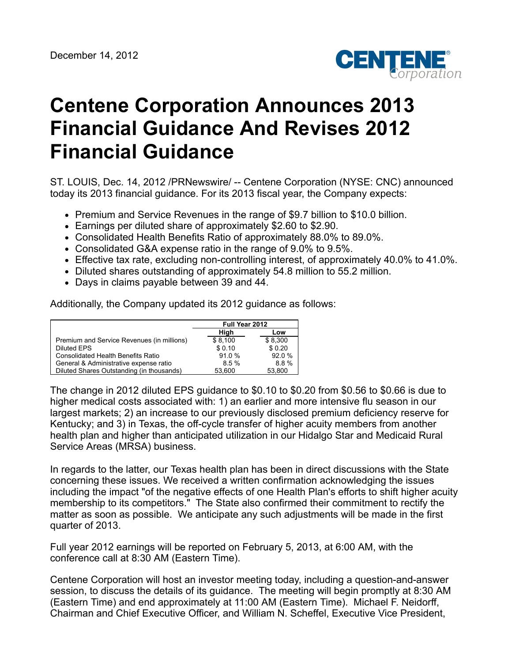

## **Centene Corporation Announces 2013 Financial Guidance And Revises 2012 Financial Guidance**

ST. LOUIS, Dec. 14, 2012 /PRNewswire/ -- Centene Corporation (NYSE: CNC) announced today its 2013 financial guidance. For its 2013 fiscal year, the Company expects:

- Premium and Service Revenues in the range of \$9.7 billion to \$10.0 billion.
- Earnings per diluted share of approximately \$2.60 to \$2.90.
- Consolidated Health Benefits Ratio of approximately 88.0% to 89.0%.
- Consolidated G&A expense ratio in the range of 9.0% to 9.5%.
- Effective tax rate, excluding non-controlling interest, of approximately 40.0% to 41.0%.
- Diluted shares outstanding of approximately 54.8 million to 55.2 million.
- Days in claims payable between 39 and 44.

Additionally, the Company updated its 2012 guidance as follows:

|                                            | Full Year 2012 |         |
|--------------------------------------------|----------------|---------|
|                                            | High           | Low     |
| Premium and Service Revenues (in millions) | \$8,100        | \$8,300 |
| Diluted EPS                                | \$0.10         | \$0.20  |
| <b>Consolidated Health Benefits Ratio</b>  | 91.0%          | 92.0%   |
| General & Administrative expense ratio     | 8.5%           | 8.8%    |
| Diluted Shares Outstanding (in thousands)  | 53,600         | 53.800  |

The change in 2012 diluted EPS guidance to \$0.10 to \$0.20 from \$0.56 to \$0.66 is due to higher medical costs associated with: 1) an earlier and more intensive flu season in our largest markets; 2) an increase to our previously disclosed premium deficiency reserve for Kentucky; and 3) in Texas, the off-cycle transfer of higher acuity members from another health plan and higher than anticipated utilization in our Hidalgo Star and Medicaid Rural Service Areas (MRSA) business.

In regards to the latter, our Texas health plan has been in direct discussions with the State concerning these issues. We received a written confirmation acknowledging the issues including the impact "of the negative effects of one Health Plan's efforts to shift higher acuity membership to its competitors." The State also confirmed their commitment to rectify the matter as soon as possible. We anticipate any such adjustments will be made in the first quarter of 2013.

Full year 2012 earnings will be reported on February 5, 2013, at 6:00 AM, with the conference call at 8:30 AM (Eastern Time).

Centene Corporation will host an investor meeting today, including a question-and-answer session, to discuss the details of its guidance. The meeting will begin promptly at 8:30 AM (Eastern Time) and end approximately at 11:00 AM (Eastern Time). Michael F. Neidorff, Chairman and Chief Executive Officer, and William N. Scheffel, Executive Vice President,